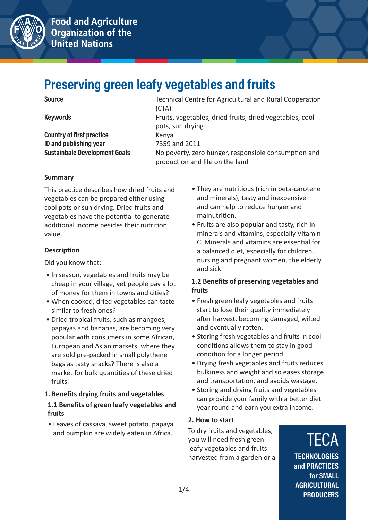



## **Preserving green leafy vegetables and fruits**

| <b>Keywords</b>                |  |
|--------------------------------|--|
| Operations of Capturers of the |  |

**Country of first practice example 3 Kenya ID and publishing year** 7359 and 2011

**Source Source Example 2018 Technical Centre for Agricultural and Rural Cooperation** (CTA) **Keywords** Fruits, vegetables, dried fruits, dried vegetables, cool pots, sun drying **Sustainbale Development Goals No poverty, zero hunger, responsible consumption and** production and life on the land

#### **Summary**

This practice describes how dried fruits and vegetables can be prepared either using cool pots or sun drying. Dried fruits and vegetables have the potential to generate additional income besides their nutrition value.

#### **Description**

Did you know that:

- In season, vegetables and fruits may be cheap in your village, yet people pay a lot of money for them in towns and cities?
- When cooked, dried vegetables can taste similar to fresh ones?
- Dried tropical fruits, such as mangoes, papayas and bananas, are becoming very popular with consumers in some African, European and Asian markets, where they are sold pre-packed in small polythene bags as tasty snacks? There is also a market for bulk quantities of these dried fruits.
- **1. Benefits drying fruits and vegetables 1.1 Benefits of green leafy vegetables and fruits**
- Leaves of cassava, sweet potato, papaya and pumpkin are widely eaten in Africa.
- They are nutritious (rich in beta-carotene and minerals), tasty and inexpensive and can help to reduce hunger and malnutrition.
- Fruits are also popular and tasty, rich in minerals and vitamins, especially Vitamin C. Minerals and vitamins are essential for a balanced diet, especially for children, nursing and pregnant women, the elderly and sick.

#### **1.2 Benefits of preserving vegetables and fruits**

- Fresh green leafy vegetables and fruits start to lose their quality immediately after harvest, becoming damaged, wilted and eventually rotten.
- Storing fresh vegetables and fruits in cool conditions allows them to stay in good condition for a longer period.
- Drying fresh vegetables and fruits reduces bulkiness and weight and so eases storage and transportation, and avoids wastage.
- Storing and drying fruits and vegetables can provide your family with a better diet year round and earn you extra income.

#### **2. How to start**

To dry fruits and vegetables, you will need fresh green leafy vegetables and fruits harvested from a garden or a

### **TECA TECHNOLOGIES and PRACTICES for SMALL AGRICULTURAL PRODUCERS**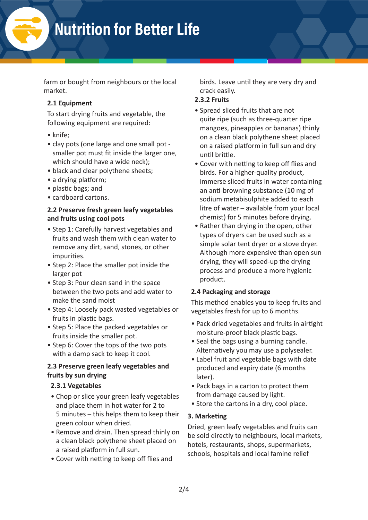# **Nutrition for Better Life**

farm or bought from neighbours or the local market.

#### **2.1 Equipment**

To start drying fruits and vegetable, the following equipment are required:

- knife;
- clay pots (one large and one small pot smaller pot must fit inside the larger one, which should have a wide neck);
- black and clear polythene sheets;
- a drying platform;
- plastic bags; and
- cardboard cartons.

#### **2.2 Preserve fresh green leafy vegetables and fruits using cool pots**

- Step 1: Carefully harvest vegetables and fruits and wash them with clean water to remove any dirt, sand, stones, or other impurities.
- Step 2: Place the smaller pot inside the larger pot
- Step 3: Pour clean sand in the space between the two pots and add water to make the sand moist
- Step 4: Loosely pack wasted vegetables or fruits in plastic bags.
- Step 5: Place the packed vegetables or fruits inside the smaller pot.
- Step 6: Cover the tops of the two pots with a damp sack to keep it cool.

#### **2.3 Preserve green leafy vegetables and fruits by sun drying**

#### **2.3.1 Vegetables**

- Chop or slice your green leafy vegetables and place them in hot water for 2 to 5 minutes – this helps them to keep their green colour when dried.
- Remove and drain. Then spread thinly on a clean black polythene sheet placed on a raised platform in full sun.
- Cover with netting to keep off flies and

birds. Leave until they are very dry and crack easily.

#### **2.3.2 Fruits**

- Spread sliced fruits that are not quite ripe (such as three-quarter ripe mangoes, pineapples or bananas) thinly on a clean black polythene sheet placed on a raised platform in full sun and dry until brittle.
- Cover with netting to keep off flies and birds. For a higher-quality product, immerse sliced fruits in water containing an anti-browning substance (10 mg of sodium metabisulphite added to each litre of water – available from your local chemist) for 5 minutes before drying.
- Rather than drying in the open, other types of dryers can be used such as a simple solar tent dryer or a stove dryer. Although more expensive than open sun drying, they will speed-up the drying process and produce a more hygienic product.

#### **2.4 Packaging and storage**

This method enables you to keep fruits and vegetables fresh for up to 6 months.

- Pack dried vegetables and fruits in airtight moisture-proof black plastic bags.
- Seal the bags using a burning candle. Alternatively you may use a polysealer.
- Label fruit and vegetable bags with date produced and expiry date (6 months later).
- Pack bags in a carton to protect them from damage caused by light.
- Store the cartons in a dry, cool place.

#### **3. Marketing**

Dried, green leafy vegetables and fruits can be sold directly to neighbours, local markets, hotels, restaurants, shops, supermarkets, schools, hospitals and local famine relief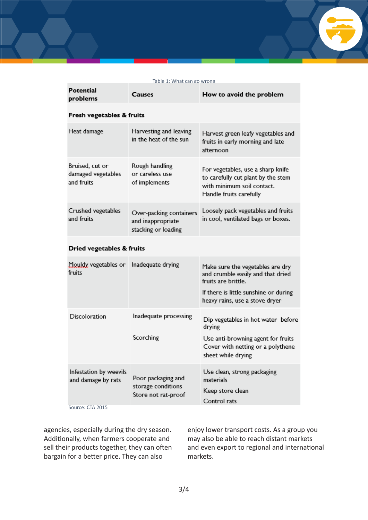#### Table 1: What can go wrong

| Potential<br>problems                               | Causes                                                              | How to avoid the problem                                                                                                                                                        |  |  |
|-----------------------------------------------------|---------------------------------------------------------------------|---------------------------------------------------------------------------------------------------------------------------------------------------------------------------------|--|--|
| Fresh vegetables & fruits                           |                                                                     |                                                                                                                                                                                 |  |  |
| Heat damage                                         | Harvesting and leaving<br>in the heat of the sun                    | Harvest green leafy vegetables and<br>fruits in early morning and late<br>afternoon                                                                                             |  |  |
| Bruised, cut or<br>damaged vegetables<br>and fruits | Rough handling<br>or careless use<br>of implements                  | For vegetables, use a sharp knife<br>to carefully cut plant by the stem<br>with minimum soil contact.<br>Handle fruits carefully                                                |  |  |
| Crushed vegetables<br>and fruits                    | Over-packing containers<br>and inappropriate<br>stacking or loading | Loosely pack vegetables and fruits<br>in cool, ventilated bags or boxes.                                                                                                        |  |  |
| Dried vegetables & fruits                           |                                                                     |                                                                                                                                                                                 |  |  |
| Mouldy vegetables or<br>fruits                      | Inadequate drying                                                   | Make sure the vegetables are dry<br>and crumble easily and that dried<br>fruits are brittle.<br>If there is little sunshine or during                                           |  |  |
| <b>Discoloration</b>                                | Inadequate processing<br>Scorching                                  | heavy rains, use a stove dryer<br>Dip vegetables in hot water before<br>drying<br>Use anti-browning agent for fruits<br>Cover with netting or a polythene<br>sheet while drying |  |  |
| Infestation by weevils<br>and damage by rats        | Poor packaging and<br>storage conditions<br>Store not rat-proof     | Use clean, strong packaging<br>materials<br>Keep store clean<br>Control rats                                                                                                    |  |  |

Source: CTA 2015

agencies, especially during the dry season. Additionally, when farmers cooperate and sell their products together, they can often bargain for a better price. They can also

enjoy lower transport costs. As a group you may also be able to reach distant markets and even export to regional and international markets.